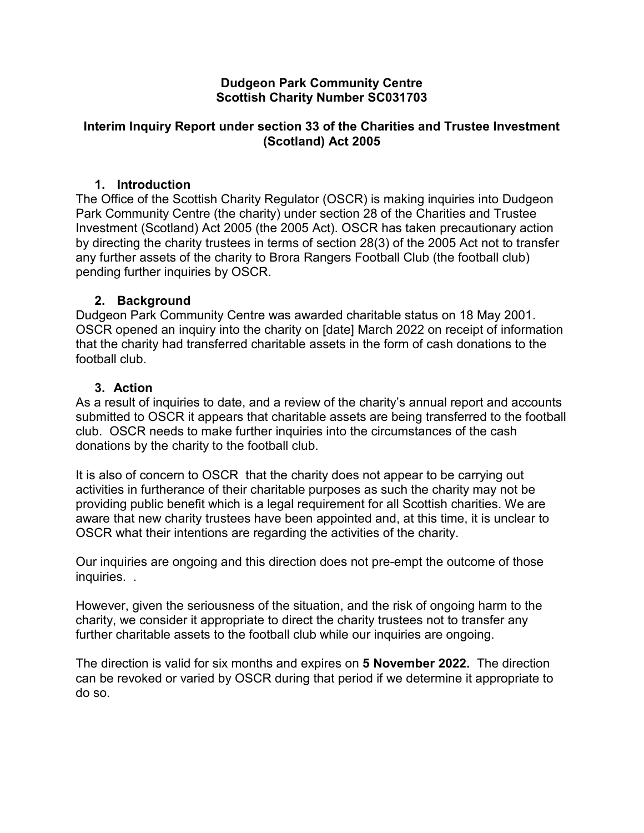### **Dudgeon Park Community Centre Scottish Charity Number SC031703**

### **Interim Inquiry Report under section 33 of the Charities and Trustee Investment (Scotland) Act 2005**

# **1. Introduction**

The Office of the Scottish Charity Regulator (OSCR) is making inquiries into Dudgeon Park Community Centre (the charity) under section 28 of the Charities and Trustee Investment (Scotland) Act 2005 (the 2005 Act). OSCR has taken precautionary action by directing the charity trustees in terms of section 28(3) of the 2005 Act not to transfer any further assets of the charity to Brora Rangers Football Club (the football club) pending further inquiries by OSCR.

## **2. Background**

Dudgeon Park Community Centre was awarded charitable status on 18 May 2001. OSCR opened an inquiry into the charity on [date] March 2022 on receipt of information that the charity had transferred charitable assets in the form of cash donations to the football club.

## **3. Action**

As a result of inquiries to date, and a review of the charity's annual report and accounts submitted to OSCR it appears that charitable assets are being transferred to the football club. OSCR needs to make further inquiries into the circumstances of the cash donations by the charity to the football club.

It is also of concern to OSCR that the charity does not appear to be carrying out activities in furtherance of their charitable purposes as such the charity may not be providing public benefit which is a legal requirement for all Scottish charities. We are aware that new charity trustees have been appointed and, at this time, it is unclear to OSCR what their intentions are regarding the activities of the charity.

Our inquiries are ongoing and this direction does not pre-empt the outcome of those inquiries. .

However, given the seriousness of the situation, and the risk of ongoing harm to the charity, we consider it appropriate to direct the charity trustees not to transfer any further charitable assets to the football club while our inquiries are ongoing.

The direction is valid for six months and expires on **5 November 2022.** The direction can be revoked or varied by OSCR during that period if we determine it appropriate to do so.